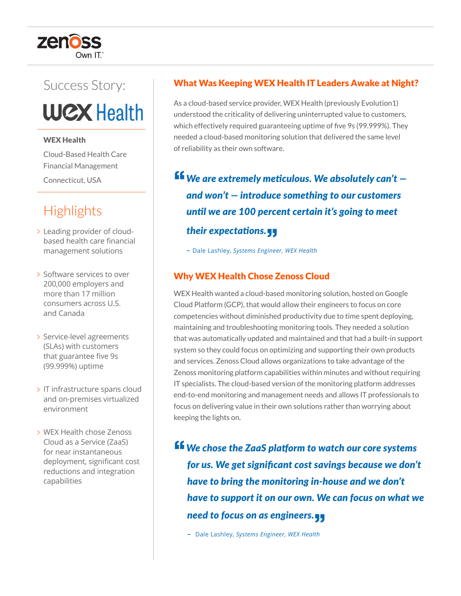# zenoss

## Success Story:

**WCX Health** 

#### WEX Health

Cloud-Based Health Care Financial Management Connecticut, USA

### **Highlights**

- Leading provider of cloudbased health care financial management solutions
- > Software services to over 200,000 employers and more than 17 million consumers across U.S. and Canada
- > Service-level agreements (SLAs) with customers that guarantee five 9s (99.999%) uptime
- IT infrastructure spans cloud and on-premises virtualized environment
- WEX Health chose Zenoss Cloud as a Service (ZaaS) for near instantaneous deployment, significant cost reductions and integration capabilities

#### What Was Keeping WEX Health IT Leaders Awake at Night?

As a cloud-based service provider, WEX Health (previously Evolution1) understood the criticality of delivering uninterrupted value to customers, which effectively required guaranteeing uptime of five 9s (99.999%). They needed a cloud-based monitoring solution that delivered the same level of reliability as their own software.

**<sup>ff</sup>** We are extremely meticulous. We absolutely can't – *and won't — introduce something to our customers until we are 100 percent certain it's going to meet their expectations.* **"**

*–* Dale Lashley, *Systems Engineer, WEX Health*

#### Why WEX Health Chose Zenoss Cloud

WEX Health wanted a cloud-based monitoring solution, hosted on Google Cloud Platform (GCP), that would allow their engineers to focus on core competencies without diminished productivity due to time spent deploying, maintaining and troubleshooting monitoring tools. They needed a solution that was automatically updated and maintained and that had a built-in support system so they could focus on optimizing and supporting their own products and services. Zenoss Cloud allows organizations to take advantage of the Zenoss monitoring platform capabilities within minutes and without requiring IT specialists. The cloud-based version of the monitoring platform addresses end-to-end monitoring and management needs and allows IT professionals to focus on delivering value in their own solutions rather than worrying about keeping the lights on.

**"***We chose the ZaaS platform to watch our core systems for us. We get significant cost savings because we don't have to bring the monitoring in-house and we don't have to support it on our own. We can focus on what we need to focus on as engineers.* **"**

*–* Dale Lashley, *Systems Engineer, WEX Health*